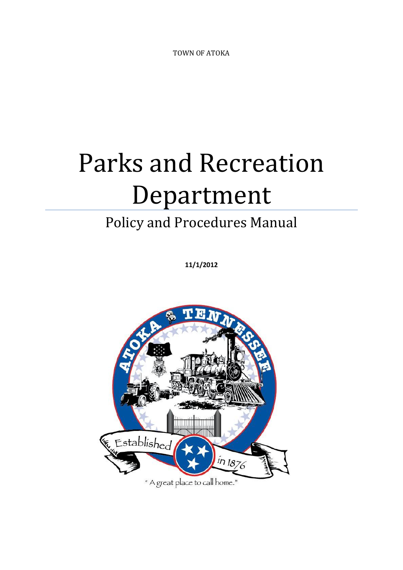TOWN OF ATOKA

# Parks and Recreation Department

# Policy and Procedures Manual

**11/1/2012**

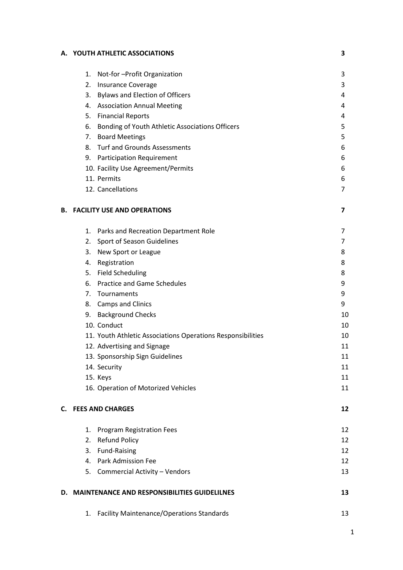# **A. YOUTH ATHLETIC ASSOCIATIONS 3**

|    | 1.                                              | Not-for-Profit Organization                                 | 3  |  |  |  |  |  |  |  |
|----|-------------------------------------------------|-------------------------------------------------------------|----|--|--|--|--|--|--|--|
|    | 2.                                              | <b>Insurance Coverage</b>                                   | 3  |  |  |  |  |  |  |  |
|    |                                                 | 3. Bylaws and Election of Officers                          | 4  |  |  |  |  |  |  |  |
|    |                                                 | 4. Association Annual Meeting                               | 4  |  |  |  |  |  |  |  |
|    |                                                 | 5. Financial Reports                                        | 4  |  |  |  |  |  |  |  |
|    |                                                 | 6. Bonding of Youth Athletic Associations Officers          | 5  |  |  |  |  |  |  |  |
|    |                                                 | 7. Board Meetings                                           | 5  |  |  |  |  |  |  |  |
|    |                                                 | 8. Turf and Grounds Assessments                             | 6  |  |  |  |  |  |  |  |
|    |                                                 | 9. Participation Requirement                                | 6  |  |  |  |  |  |  |  |
|    |                                                 | 10. Facility Use Agreement/Permits                          | 6  |  |  |  |  |  |  |  |
|    | 11. Permits                                     |                                                             | 6  |  |  |  |  |  |  |  |
|    |                                                 | 12. Cancellations                                           | 7  |  |  |  |  |  |  |  |
| В. |                                                 | <b>FACILITY USE AND OPERATIONS</b>                          | 7  |  |  |  |  |  |  |  |
|    |                                                 | 1. Parks and Recreation Department Role                     | 7  |  |  |  |  |  |  |  |
|    |                                                 | 2. Sport of Season Guidelines                               | 7  |  |  |  |  |  |  |  |
|    | 3.                                              | New Sport or League                                         | 8  |  |  |  |  |  |  |  |
|    | 4. Registration                                 |                                                             | 8  |  |  |  |  |  |  |  |
|    |                                                 | 5. Field Scheduling                                         | 8  |  |  |  |  |  |  |  |
|    |                                                 | 6. Practice and Game Schedules                              | 9  |  |  |  |  |  |  |  |
|    |                                                 | 7. Tournaments                                              | 9  |  |  |  |  |  |  |  |
|    |                                                 | 8. Camps and Clinics                                        | 9  |  |  |  |  |  |  |  |
|    |                                                 | 9. Background Checks                                        | 10 |  |  |  |  |  |  |  |
|    | 10. Conduct                                     |                                                             | 10 |  |  |  |  |  |  |  |
|    |                                                 | 11. Youth Athletic Associations Operations Responsibilities | 10 |  |  |  |  |  |  |  |
|    |                                                 | 12. Advertising and Signage                                 | 11 |  |  |  |  |  |  |  |
|    |                                                 | 13. Sponsorship Sign Guidelines                             | 11 |  |  |  |  |  |  |  |
|    | 14. Security                                    |                                                             | 11 |  |  |  |  |  |  |  |
|    | 15. Keys                                        |                                                             | 11 |  |  |  |  |  |  |  |
|    |                                                 | 16. Operation of Motorized Vehicles                         | 11 |  |  |  |  |  |  |  |
|    | C. FEES AND CHARGES                             |                                                             |    |  |  |  |  |  |  |  |
|    | 1.                                              | <b>Program Registration Fees</b>                            | 12 |  |  |  |  |  |  |  |
|    | 2.                                              | Refund Policy                                               | 12 |  |  |  |  |  |  |  |
|    | 3.                                              | <b>Fund-Raising</b>                                         | 12 |  |  |  |  |  |  |  |
|    |                                                 | 4. Park Admission Fee                                       | 12 |  |  |  |  |  |  |  |
|    |                                                 | 5. Commercial Activity - Vendors                            | 13 |  |  |  |  |  |  |  |
|    | D. MAINTENANCE AND RESPONSIBILITIES GUIDELILNES |                                                             |    |  |  |  |  |  |  |  |
|    |                                                 | 1. Facility Maintenance/Operations Standards                | 13 |  |  |  |  |  |  |  |

1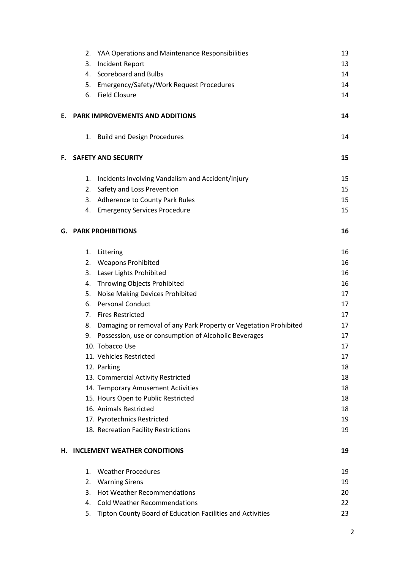| 2.      | YAA Operations and Maintenance Responsibilities                   | 13                                                                                                                                                                                                                                                                                                                                                                                                                                                                                                                                                                                                                                                                                             |
|---------|-------------------------------------------------------------------|------------------------------------------------------------------------------------------------------------------------------------------------------------------------------------------------------------------------------------------------------------------------------------------------------------------------------------------------------------------------------------------------------------------------------------------------------------------------------------------------------------------------------------------------------------------------------------------------------------------------------------------------------------------------------------------------|
| 3.      | Incident Report                                                   | 13                                                                                                                                                                                                                                                                                                                                                                                                                                                                                                                                                                                                                                                                                             |
|         |                                                                   | 14                                                                                                                                                                                                                                                                                                                                                                                                                                                                                                                                                                                                                                                                                             |
| 5.      |                                                                   | 14                                                                                                                                                                                                                                                                                                                                                                                                                                                                                                                                                                                                                                                                                             |
|         |                                                                   | 14                                                                                                                                                                                                                                                                                                                                                                                                                                                                                                                                                                                                                                                                                             |
|         |                                                                   | 14                                                                                                                                                                                                                                                                                                                                                                                                                                                                                                                                                                                                                                                                                             |
|         |                                                                   | 14                                                                                                                                                                                                                                                                                                                                                                                                                                                                                                                                                                                                                                                                                             |
|         |                                                                   | 15                                                                                                                                                                                                                                                                                                                                                                                                                                                                                                                                                                                                                                                                                             |
| 1.      | Incidents Involving Vandalism and Accident/Injury                 | 15                                                                                                                                                                                                                                                                                                                                                                                                                                                                                                                                                                                                                                                                                             |
|         | Safety and Loss Prevention                                        | 15                                                                                                                                                                                                                                                                                                                                                                                                                                                                                                                                                                                                                                                                                             |
| 3.      |                                                                   | 15                                                                                                                                                                                                                                                                                                                                                                                                                                                                                                                                                                                                                                                                                             |
|         |                                                                   | 15                                                                                                                                                                                                                                                                                                                                                                                                                                                                                                                                                                                                                                                                                             |
|         |                                                                   | 16                                                                                                                                                                                                                                                                                                                                                                                                                                                                                                                                                                                                                                                                                             |
| 1.      | Littering                                                         | 16                                                                                                                                                                                                                                                                                                                                                                                                                                                                                                                                                                                                                                                                                             |
|         |                                                                   | 16                                                                                                                                                                                                                                                                                                                                                                                                                                                                                                                                                                                                                                                                                             |
| 3.      | Laser Lights Prohibited                                           | 16                                                                                                                                                                                                                                                                                                                                                                                                                                                                                                                                                                                                                                                                                             |
| 4.      |                                                                   | 16                                                                                                                                                                                                                                                                                                                                                                                                                                                                                                                                                                                                                                                                                             |
| 5.      | Noise Making Devices Prohibited                                   | 17                                                                                                                                                                                                                                                                                                                                                                                                                                                                                                                                                                                                                                                                                             |
| 6.      | <b>Personal Conduct</b>                                           | 17                                                                                                                                                                                                                                                                                                                                                                                                                                                                                                                                                                                                                                                                                             |
| 7.      | <b>Fires Restricted</b>                                           | 17                                                                                                                                                                                                                                                                                                                                                                                                                                                                                                                                                                                                                                                                                             |
| 8.      | Damaging or removal of any Park Property or Vegetation Prohibited | 17                                                                                                                                                                                                                                                                                                                                                                                                                                                                                                                                                                                                                                                                                             |
| 9.      | Possession, use or consumption of Alcoholic Beverages             | 17                                                                                                                                                                                                                                                                                                                                                                                                                                                                                                                                                                                                                                                                                             |
|         |                                                                   | 17                                                                                                                                                                                                                                                                                                                                                                                                                                                                                                                                                                                                                                                                                             |
|         |                                                                   | 17                                                                                                                                                                                                                                                                                                                                                                                                                                                                                                                                                                                                                                                                                             |
|         |                                                                   | 18                                                                                                                                                                                                                                                                                                                                                                                                                                                                                                                                                                                                                                                                                             |
|         |                                                                   | 18                                                                                                                                                                                                                                                                                                                                                                                                                                                                                                                                                                                                                                                                                             |
|         |                                                                   | 18                                                                                                                                                                                                                                                                                                                                                                                                                                                                                                                                                                                                                                                                                             |
|         |                                                                   | 18                                                                                                                                                                                                                                                                                                                                                                                                                                                                                                                                                                                                                                                                                             |
|         |                                                                   | 18                                                                                                                                                                                                                                                                                                                                                                                                                                                                                                                                                                                                                                                                                             |
|         |                                                                   | 19                                                                                                                                                                                                                                                                                                                                                                                                                                                                                                                                                                                                                                                                                             |
|         |                                                                   | 19                                                                                                                                                                                                                                                                                                                                                                                                                                                                                                                                                                                                                                                                                             |
|         |                                                                   | 19                                                                                                                                                                                                                                                                                                                                                                                                                                                                                                                                                                                                                                                                                             |
| $1_{-}$ | <b>Weather Procedures</b>                                         | 19                                                                                                                                                                                                                                                                                                                                                                                                                                                                                                                                                                                                                                                                                             |
| 2.      | <b>Warning Sirens</b>                                             | 19                                                                                                                                                                                                                                                                                                                                                                                                                                                                                                                                                                                                                                                                                             |
| 3.      | <b>Hot Weather Recommendations</b>                                | 20                                                                                                                                                                                                                                                                                                                                                                                                                                                                                                                                                                                                                                                                                             |
| 4.      | <b>Cold Weather Recommendations</b>                               | 22                                                                                                                                                                                                                                                                                                                                                                                                                                                                                                                                                                                                                                                                                             |
| 5.      | Tipton County Board of Education Facilities and Activities        | 23                                                                                                                                                                                                                                                                                                                                                                                                                                                                                                                                                                                                                                                                                             |
|         |                                                                   | 4. Scoreboard and Bulbs<br>Emergency/Safety/Work Request Procedures<br>6. Field Closure<br><b>PARK IMPROVEMENTS AND ADDITIONS</b><br>1. Build and Design Procedures<br><b>SAFETY AND SECURITY</b><br>2.<br><b>Adherence to County Park Rules</b><br>4. Emergency Services Procedure<br><b>G. PARK PROHIBITIONS</b><br>2. Weapons Prohibited<br>Throwing Objects Prohibited<br>10. Tobacco Use<br>11. Vehicles Restricted<br>12. Parking<br>13. Commercial Activity Restricted<br>14. Temporary Amusement Activities<br>15. Hours Open to Public Restricted<br>16. Animals Restricted<br>17. Pyrotechnics Restricted<br>18. Recreation Facility Restrictions<br>H. INCLEMENT WEATHER CONDITIONS |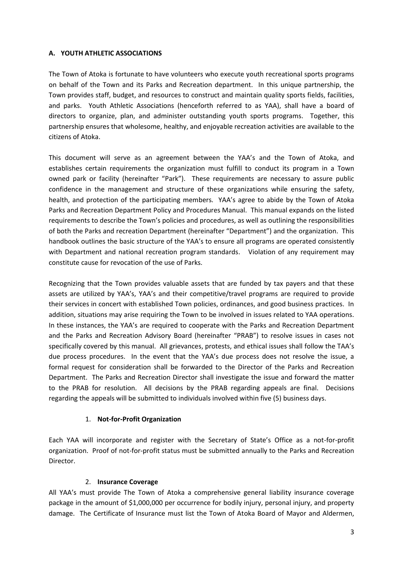#### **A. YOUTH ATHLETIC ASSOCIATIONS**

The Town of Atoka is fortunate to have volunteers who execute youth recreational sports programs on behalf of the Town and its Parks and Recreation department. In this unique partnership, the Town provides staff, budget, and resources to construct and maintain quality sports fields, facilities, and parks. Youth Athletic Associations (henceforth referred to as YAA), shall have a board of directors to organize, plan, and administer outstanding youth sports programs. Together, this partnership ensures that wholesome, healthy, and enjoyable recreation activities are available to the citizens of Atoka.

This document will serve as an agreement between the YAA's and the Town of Atoka, and establishes certain requirements the organization must fulfill to conduct its program in a Town owned park or facility (hereinafter "Park"). These requirements are necessary to assure public confidence in the management and structure of these organizations while ensuring the safety, health, and protection of the participating members. YAA's agree to abide by the Town of Atoka Parks and Recreation Department Policy and Procedures Manual. This manual expands on the listed requirements to describe the Town's policies and procedures, as well as outlining the responsibilities of both the Parks and recreation Department (hereinafter "Department") and the organization. This handbook outlines the basic structure of the YAA's to ensure all programs are operated consistently with Department and national recreation program standards. Violation of any requirement may constitute cause for revocation of the use of Parks.

Recognizing that the Town provides valuable assets that are funded by tax payers and that these assets are utilized by YAA's, YAA's and their competitive/travel programs are required to provide their services in concert with established Town policies, ordinances, and good business practices. In addition, situations may arise requiring the Town to be involved in issues related to YAA operations. In these instances, the YAA's are required to cooperate with the Parks and Recreation Department and the Parks and Recreation Advisory Board (hereinafter "PRAB") to resolve issues in cases not specifically covered by this manual. All grievances, protests, and ethical issues shall follow the TAA's due process procedures. In the event that the YAA's due process does not resolve the issue, a formal request for consideration shall be forwarded to the Director of the Parks and Recreation Department. The Parks and Recreation Director shall investigate the issue and forward the matter to the PRAB for resolution. All decisions by the PRAB regarding appeals are final. Decisions regarding the appeals will be submitted to individuals involved within five (5) business days.

#### 1. **Not-for-Profit Organization**

Each YAA will incorporate and register with the Secretary of State's Office as a not-for-profit organization. Proof of not-for-profit status must be submitted annually to the Parks and Recreation Director.

#### 2. **Insurance Coverage**

All YAA's must provide The Town of Atoka a comprehensive general liability insurance coverage package in the amount of \$1,000,000 per occurrence for bodily injury, personal injury, and property damage. The Certificate of Insurance must list the Town of Atoka Board of Mayor and Aldermen,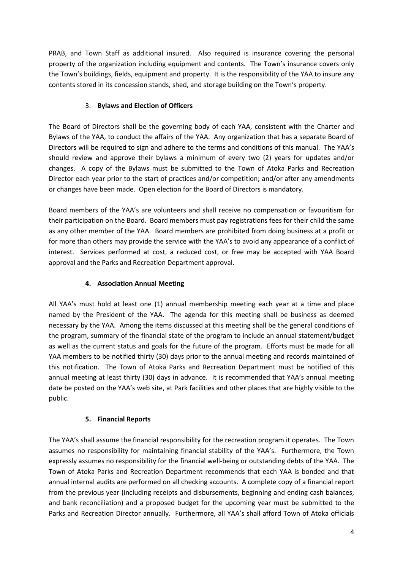PRAB, and Town Staff as additional insured. Also required is insurance covering the personal property of the organization including equipment and contents. The Town's insurance covers only the Town's buildings, fields, equipment and property. It is the responsibility of the YAA to insure any contents stored in its concession stands, shed, and storage building on the Town's property.

# 3. **Bylaws and Election of Officers**

The Board of Directors shall be the governing body of each YAA, consistent with the Charter and Bylaws of the YAA, to conduct the affairs of the YAA. Any organization that has a separate Board of Directors will be required to sign and adhere to the terms and conditions of this manual. The YAA's should review and approve their bylaws a minimum of every two (2) years for updates and/or changes. A copy of the Bylaws must be submitted to the Town of Atoka Parks and Recreation Director each year prior to the start of practices and/or competition; and/or after any amendments or changes have been made. Open election for the Board of Directors is mandatory.

Board members of the YAA's are volunteers and shall receive no compensation or favouritism for their participation on the Board. Board members must pay registrations fees for their child the same as any other member of the YAA. Board members are prohibited from doing business at a profit or for more than others may provide the service with the YAA's to avoid any appearance of a conflict of interest. Services performed at cost, a reduced cost, or free may be accepted with YAA Board approval and the Parks and Recreation Department approval.

# **4. Association Annual Meeting**

All YAA's must hold at least one (1) annual membership meeting each year at a time and place named by the President of the YAA. The agenda for this meeting shall be business as deemed necessary by the YAA. Among the items discussed at this meeting shall be the general conditions of the program, summary of the financial state of the program to include an annual statement/budget as well as the current status and goals for the future of the program. Efforts must be made for all YAA members to be notified thirty (30) days prior to the annual meeting and records maintained of this notification. The Town of Atoka Parks and Recreation Department must be notified of this annual meeting at least thirty (30) days in advance. It is recommended that YAA's annual meeting date be posted on the YAA's web site, at Park facilities and other places that are highly visible to the public.

# **5. Financial Reports**

The YAA's shall assume the financial responsibility for the recreation program it operates. The Town assumes no responsibility for maintaining financial stability of the YAA's. Furthermore, the Town expressly assumes no responsibility for the financial well-being or outstanding debts of the YAA. The Town of Atoka Parks and Recreation Department recommends that each YAA is bonded and that annual internal audits are performed on all checking accounts. A complete copy of a financial report from the previous year (including receipts and disbursements, beginning and ending cash balances, and bank reconciliation) and a proposed budget for the upcoming year must be submitted to the Parks and Recreation Director annually. Furthermore, all YAA's shall afford Town of Atoka officials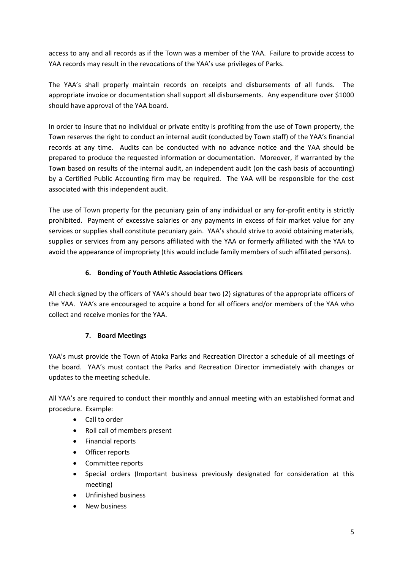access to any and all records as if the Town was a member of the YAA. Failure to provide access to YAA records may result in the revocations of the YAA's use privileges of Parks.

The YAA's shall properly maintain records on receipts and disbursements of all funds. The appropriate invoice or documentation shall support all disbursements. Any expenditure over \$1000 should have approval of the YAA board.

In order to insure that no individual or private entity is profiting from the use of Town property, the Town reserves the right to conduct an internal audit (conducted by Town staff) of the YAA's financial records at any time. Audits can be conducted with no advance notice and the YAA should be prepared to produce the requested information or documentation. Moreover, if warranted by the Town based on results of the internal audit, an independent audit (on the cash basis of accounting) by a Certified Public Accounting firm may be required. The YAA will be responsible for the cost associated with this independent audit.

The use of Town property for the pecuniary gain of any individual or any for-profit entity is strictly prohibited. Payment of excessive salaries or any payments in excess of fair market value for any services or supplies shall constitute pecuniary gain. YAA's should strive to avoid obtaining materials, supplies or services from any persons affiliated with the YAA or formerly affiliated with the YAA to avoid the appearance of impropriety (this would include family members of such affiliated persons).

# **6. Bonding of Youth Athletic Associations Officers**

All check signed by the officers of YAA's should bear two (2) signatures of the appropriate officers of the YAA. YAA's are encouraged to acquire a bond for all officers and/or members of the YAA who collect and receive monies for the YAA.

# **7. Board Meetings**

YAA's must provide the Town of Atoka Parks and Recreation Director a schedule of all meetings of the board. YAA's must contact the Parks and Recreation Director immediately with changes or updates to the meeting schedule.

All YAA's are required to conduct their monthly and annual meeting with an established format and procedure. Example:

- Call to order
- Roll call of members present
- Financial reports
- Officer reports
- Committee reports
- Special orders (Important business previously designated for consideration at this meeting)
- Unfinished business
- New business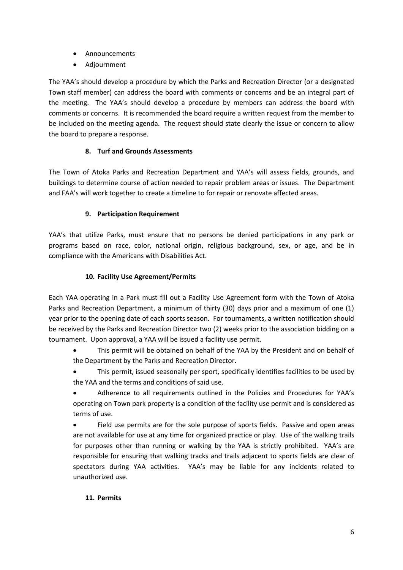- Announcements
- Adjournment

The YAA's should develop a procedure by which the Parks and Recreation Director (or a designated Town staff member) can address the board with comments or concerns and be an integral part of the meeting. The YAA's should develop a procedure by members can address the board with comments or concerns. It is recommended the board require a written request from the member to be included on the meeting agenda. The request should state clearly the issue or concern to allow the board to prepare a response.

# **8. Turf and Grounds Assessments**

The Town of Atoka Parks and Recreation Department and YAA's will assess fields, grounds, and buildings to determine course of action needed to repair problem areas or issues. The Department and FAA's will work together to create a timeline to for repair or renovate affected areas.

# **9. Participation Requirement**

YAA's that utilize Parks, must ensure that no persons be denied participations in any park or programs based on race, color, national origin, religious background, sex, or age, and be in compliance with the Americans with Disabilities Act.

# **10. Facility Use Agreement/Permits**

Each YAA operating in a Park must fill out a Facility Use Agreement form with the Town of Atoka Parks and Recreation Department, a minimum of thirty (30) days prior and a maximum of one (1) year prior to the opening date of each sports season. For tournaments, a written notification should be received by the Parks and Recreation Director two (2) weeks prior to the association bidding on a tournament. Upon approval, a YAA will be issued a facility use permit.

- This permit will be obtained on behalf of the YAA by the President and on behalf of the Department by the Parks and Recreation Director.
- This permit, issued seasonally per sport, specifically identifies facilities to be used by the YAA and the terms and conditions of said use.
- Adherence to all requirements outlined in the Policies and Procedures for YAA's operating on Town park property is a condition of the facility use permit and is considered as terms of use.

 Field use permits are for the sole purpose of sports fields. Passive and open areas are not available for use at any time for organized practice or play. Use of the walking trails for purposes other than running or walking by the YAA is strictly prohibited. YAA's are responsible for ensuring that walking tracks and trails adjacent to sports fields are clear of spectators during YAA activities. YAA's may be liable for any incidents related to unauthorized use.

#### **11. Permits**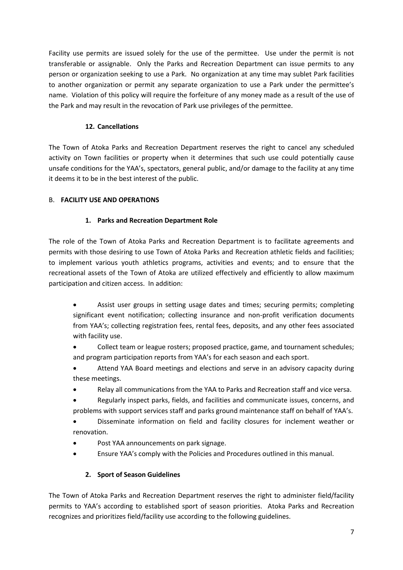Facility use permits are issued solely for the use of the permittee. Use under the permit is not transferable or assignable. Only the Parks and Recreation Department can issue permits to any person or organization seeking to use a Park. No organization at any time may sublet Park facilities to another organization or permit any separate organization to use a Park under the permittee's name. Violation of this policy will require the forfeiture of any money made as a result of the use of the Park and may result in the revocation of Park use privileges of the permittee.

# **12. Cancellations**

The Town of Atoka Parks and Recreation Department reserves the right to cancel any scheduled activity on Town facilities or property when it determines that such use could potentially cause unsafe conditions for the YAA's, spectators, general public, and/or damage to the facility at any time it deems it to be in the best interest of the public.

# B. **FACILITY USE AND OPERATIONS**

# **1. Parks and Recreation Department Role**

The role of the Town of Atoka Parks and Recreation Department is to facilitate agreements and permits with those desiring to use Town of Atoka Parks and Recreation athletic fields and facilities; to implement various youth athletics programs, activities and events; and to ensure that the recreational assets of the Town of Atoka are utilized effectively and efficiently to allow maximum participation and citizen access. In addition:

- Assist user groups in setting usage dates and times; securing permits; completing significant event notification; collecting insurance and non-profit verification documents from YAA's; collecting registration fees, rental fees, deposits, and any other fees associated with facility use.
- Collect team or league rosters; proposed practice, game, and tournament schedules; and program participation reports from YAA's for each season and each sport.
- Attend YAA Board meetings and elections and serve in an advisory capacity during these meetings.
- Relay all communications from the YAA to Parks and Recreation staff and vice versa.
- Regularly inspect parks, fields, and facilities and communicate issues, concerns, and problems with support services staff and parks ground maintenance staff on behalf of YAA's.
- Disseminate information on field and facility closures for inclement weather or renovation.
- Post YAA announcements on park signage.
- Ensure YAA's comply with the Policies and Procedures outlined in this manual.

# **2. Sport of Season Guidelines**

The Town of Atoka Parks and Recreation Department reserves the right to administer field/facility permits to YAA's according to established sport of season priorities. Atoka Parks and Recreation recognizes and prioritizes field/facility use according to the following guidelines.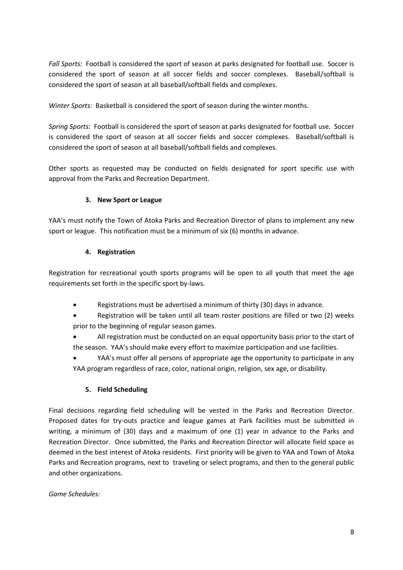*Fall Sports:* Football is considered the sport of season at parks designated for football use. Soccer is considered the sport of season at all soccer fields and soccer complexes. Baseball/softball is considered the sport of season at all baseball/softball fields and complexes.

*Winter Sports:* Basketball is considered the sport of season during the winter months.

*Spring Sports:* Football is considered the sport of season at parks designated for football use. Soccer is considered the sport of season at all soccer fields and soccer complexes. Baseball/softball is considered the sport of season at all baseball/softball fields and complexes.

Other sports as requested may be conducted on fields designated for sport specific use with approval from the Parks and Recreation Department.

# **3. New Sport or League**

YAA's must notify the Town of Atoka Parks and Recreation Director of plans to implement any new sport or league. This notification must be a minimum of six (6) months in advance.

#### **4. Registration**

Registration for recreational youth sports programs will be open to all youth that meet the age requirements set forth in the specific sport by-laws.

- Registrations must be advertised a minimum of thirty (30) days in advance.
- Registration will be taken until all team roster positions are filled or two (2) weeks prior to the beginning of regular season games.
- All registration must be conducted on an equal opportunity basis prior to the start of the season. YAA's should make every effort to maximize participation and use facilities.
- YAA's must offer all persons of appropriate age the opportunity to participate in any YAA program regardless of race, color, national origin, religion, sex age, or disability.

# **5. Field Scheduling**

Final decisions regarding field scheduling will be vested in the Parks and Recreation Director. Proposed dates for try-outs practice and league games at Park facilities must be submitted in writing, a minimum of (30) days and a maximum of one (1) year in advance to the Parks and Recreation Director. Once submitted, the Parks and Recreation Director will allocate field space as deemed in the best interest of Atoka residents. First priority will be given to YAA and Town of Atoka Parks and Recreation programs, next to traveling or select programs, and then to the general public and other organizations.

#### *Game Schedules:*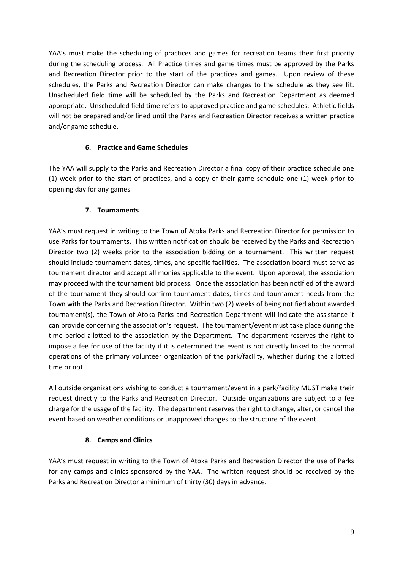YAA's must make the scheduling of practices and games for recreation teams their first priority during the scheduling process. All Practice times and game times must be approved by the Parks and Recreation Director prior to the start of the practices and games. Upon review of these schedules, the Parks and Recreation Director can make changes to the schedule as they see fit. Unscheduled field time will be scheduled by the Parks and Recreation Department as deemed appropriate. Unscheduled field time refers to approved practice and game schedules. Athletic fields will not be prepared and/or lined until the Parks and Recreation Director receives a written practice and/or game schedule.

#### **6. Practice and Game Schedules**

The YAA will supply to the Parks and Recreation Director a final copy of their practice schedule one (1) week prior to the start of practices, and a copy of their game schedule one (1) week prior to opening day for any games.

#### **7. Tournaments**

YAA's must request in writing to the Town of Atoka Parks and Recreation Director for permission to use Parks for tournaments. This written notification should be received by the Parks and Recreation Director two (2) weeks prior to the association bidding on a tournament. This written request should include tournament dates, times, and specific facilities. The association board must serve as tournament director and accept all monies applicable to the event. Upon approval, the association may proceed with the tournament bid process. Once the association has been notified of the award of the tournament they should confirm tournament dates, times and tournament needs from the Town with the Parks and Recreation Director. Within two (2) weeks of being notified about awarded tournament(s), the Town of Atoka Parks and Recreation Department will indicate the assistance it can provide concerning the association's request. The tournament/event must take place during the time period allotted to the association by the Department. The department reserves the right to impose a fee for use of the facility if it is determined the event is not directly linked to the normal operations of the primary volunteer organization of the park/facility, whether during the allotted time or not.

All outside organizations wishing to conduct a tournament/event in a park/facility MUST make their request directly to the Parks and Recreation Director. Outside organizations are subject to a fee charge for the usage of the facility. The department reserves the right to change, alter, or cancel the event based on weather conditions or unapproved changes to the structure of the event.

#### **8. Camps and Clinics**

YAA's must request in writing to the Town of Atoka Parks and Recreation Director the use of Parks for any camps and clinics sponsored by the YAA. The written request should be received by the Parks and Recreation Director a minimum of thirty (30) days in advance.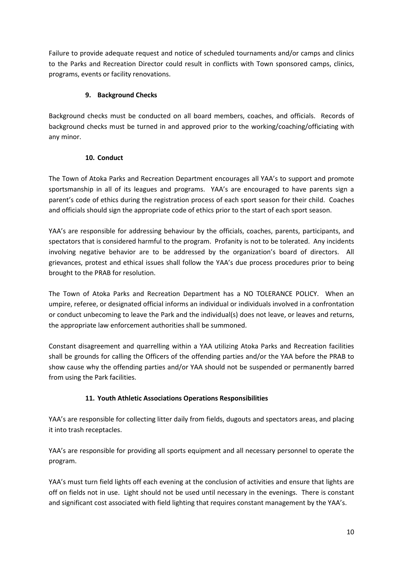Failure to provide adequate request and notice of scheduled tournaments and/or camps and clinics to the Parks and Recreation Director could result in conflicts with Town sponsored camps, clinics, programs, events or facility renovations.

# **9. Background Checks**

Background checks must be conducted on all board members, coaches, and officials. Records of background checks must be turned in and approved prior to the working/coaching/officiating with any minor.

# **10. Conduct**

The Town of Atoka Parks and Recreation Department encourages all YAA's to support and promote sportsmanship in all of its leagues and programs. YAA's are encouraged to have parents sign a parent's code of ethics during the registration process of each sport season for their child. Coaches and officials should sign the appropriate code of ethics prior to the start of each sport season.

YAA's are responsible for addressing behaviour by the officials, coaches, parents, participants, and spectators that is considered harmful to the program. Profanity is not to be tolerated. Any incidents involving negative behavior are to be addressed by the organization's board of directors. All grievances, protest and ethical issues shall follow the YAA's due process procedures prior to being brought to the PRAB for resolution.

The Town of Atoka Parks and Recreation Department has a NO TOLERANCE POLICY. When an umpire, referee, or designated official informs an individual or individuals involved in a confrontation or conduct unbecoming to leave the Park and the individual(s) does not leave, or leaves and returns, the appropriate law enforcement authorities shall be summoned.

Constant disagreement and quarrelling within a YAA utilizing Atoka Parks and Recreation facilities shall be grounds for calling the Officers of the offending parties and/or the YAA before the PRAB to show cause why the offending parties and/or YAA should not be suspended or permanently barred from using the Park facilities.

# **11. Youth Athletic Associations Operations Responsibilities**

YAA's are responsible for collecting litter daily from fields, dugouts and spectators areas, and placing it into trash receptacles.

YAA's are responsible for providing all sports equipment and all necessary personnel to operate the program.

YAA's must turn field lights off each evening at the conclusion of activities and ensure that lights are off on fields not in use. Light should not be used until necessary in the evenings. There is constant and significant cost associated with field lighting that requires constant management by the YAA's.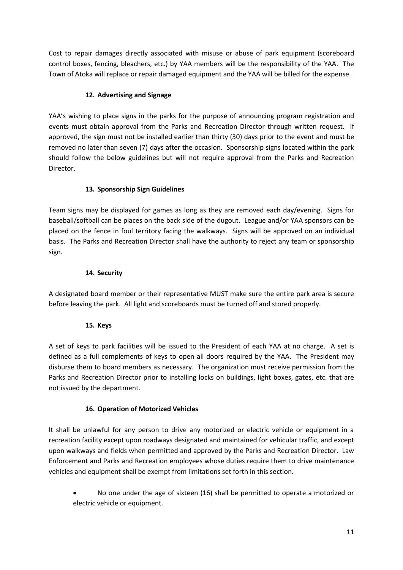Cost to repair damages directly associated with misuse or abuse of park equipment (scoreboard control boxes, fencing, bleachers, etc.) by YAA members will be the responsibility of the YAA. The Town of Atoka will replace or repair damaged equipment and the YAA will be billed for the expense.

# **12. Advertising and Signage**

YAA's wishing to place signs in the parks for the purpose of announcing program registration and events must obtain approval from the Parks and Recreation Director through written request. If approved, the sign must not be installed earlier than thirty (30) days prior to the event and must be removed no later than seven (7) days after the occasion. Sponsorship signs located within the park should follow the below guidelines but will not require approval from the Parks and Recreation Director.

# **13. Sponsorship Sign Guidelines**

Team signs may be displayed for games as long as they are removed each day/evening. Signs for baseball/softball can be places on the back side of the dugout. League and/or YAA sponsors can be placed on the fence in foul territory facing the walkways. Signs will be approved on an individual basis. The Parks and Recreation Director shall have the authority to reject any team or sponsorship sign.

# **14. Security**

A designated board member or their representative MUST make sure the entire park area is secure before leaving the park. All light and scoreboards must be turned off and stored properly.

#### **15. Keys**

A set of keys to park facilities will be issued to the President of each YAA at no charge. A set is defined as a full complements of keys to open all doors required by the YAA. The President may disburse them to board members as necessary. The organization must receive permission from the Parks and Recreation Director prior to installing locks on buildings, light boxes, gates, etc. that are not issued by the department.

# **16. Operation of Motorized Vehicles**

It shall be unlawful for any person to drive any motorized or electric vehicle or equipment in a recreation facility except upon roadways designated and maintained for vehicular traffic, and except upon walkways and fields when permitted and approved by the Parks and Recreation Director. Law Enforcement and Parks and Recreation employees whose duties require them to drive maintenance vehicles and equipment shall be exempt from limitations set forth in this section.

 No one under the age of sixteen (16) shall be permitted to operate a motorized or electric vehicle or equipment.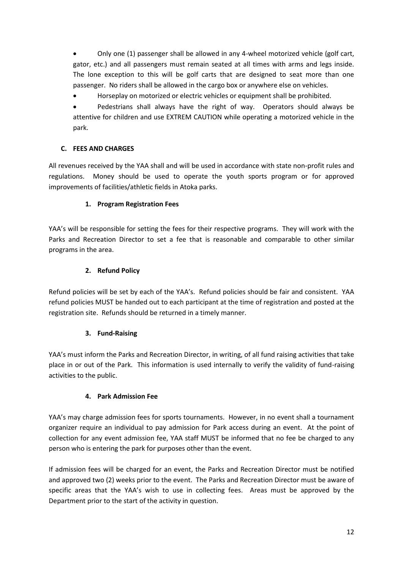Only one (1) passenger shall be allowed in any 4-wheel motorized vehicle (golf cart, gator, etc.) and all passengers must remain seated at all times with arms and legs inside. The lone exception to this will be golf carts that are designed to seat more than one passenger. No riders shall be allowed in the cargo box or anywhere else on vehicles.

Horseplay on motorized or electric vehicles or equipment shall be prohibited.

 Pedestrians shall always have the right of way. Operators should always be attentive for children and use EXTREM CAUTION while operating a motorized vehicle in the park.

# **C. FEES AND CHARGES**

All revenues received by the YAA shall and will be used in accordance with state non-profit rules and regulations. Money should be used to operate the youth sports program or for approved improvements of facilities/athletic fields in Atoka parks.

# **1. Program Registration Fees**

YAA's will be responsible for setting the fees for their respective programs. They will work with the Parks and Recreation Director to set a fee that is reasonable and comparable to other similar programs in the area.

# **2. Refund Policy**

Refund policies will be set by each of the YAA's. Refund policies should be fair and consistent. YAA refund policies MUST be handed out to each participant at the time of registration and posted at the registration site. Refunds should be returned in a timely manner.

# **3. Fund-Raising**

YAA's must inform the Parks and Recreation Director, in writing, of all fund raising activities that take place in or out of the Park. This information is used internally to verify the validity of fund-raising activities to the public.

# **4. Park Admission Fee**

YAA's may charge admission fees for sports tournaments. However, in no event shall a tournament organizer require an individual to pay admission for Park access during an event. At the point of collection for any event admission fee, YAA staff MUST be informed that no fee be charged to any person who is entering the park for purposes other than the event.

If admission fees will be charged for an event, the Parks and Recreation Director must be notified and approved two (2) weeks prior to the event. The Parks and Recreation Director must be aware of specific areas that the YAA's wish to use in collecting fees. Areas must be approved by the Department prior to the start of the activity in question.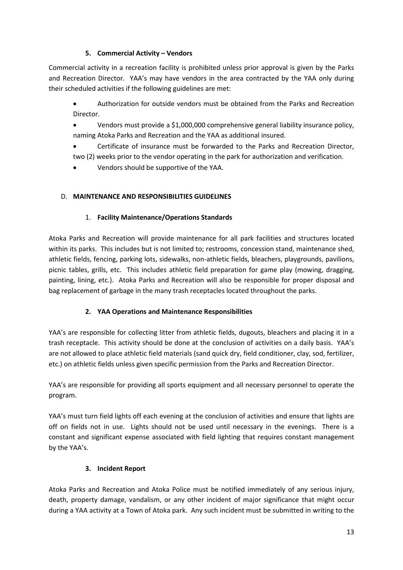# **5. Commercial Activity – Vendors**

Commercial activity in a recreation facility is prohibited unless prior approval is given by the Parks and Recreation Director. YAA's may have vendors in the area contracted by the YAA only during their scheduled activities if the following guidelines are met:

- Authorization for outside vendors must be obtained from the Parks and Recreation Director.
- Vendors must provide a \$1,000,000 comprehensive general liability insurance policy, naming Atoka Parks and Recreation and the YAA as additional insured.
- Certificate of insurance must be forwarded to the Parks and Recreation Director, two (2) weeks prior to the vendor operating in the park for authorization and verification.
- Vendors should be supportive of the YAA.

# D. **MAINTENANCE AND RESPONSIBILITIES GUIDELINES**

# 1. **Facility Maintenance/Operations Standards**

Atoka Parks and Recreation will provide maintenance for all park facilities and structures located within its parks. This includes but is not limited to; restrooms, concession stand, maintenance shed, athletic fields, fencing, parking lots, sidewalks, non-athletic fields, bleachers, playgrounds, pavilions, picnic tables, grills, etc. This includes athletic field preparation for game play (mowing, dragging, painting, lining, etc.). Atoka Parks and Recreation will also be responsible for proper disposal and bag replacement of garbage in the many trash receptacles located throughout the parks.

# **2. YAA Operations and Maintenance Responsibilities**

YAA's are responsible for collecting litter from athletic fields, dugouts, bleachers and placing it in a trash receptacle. This activity should be done at the conclusion of activities on a daily basis. YAA's are not allowed to place athletic field materials (sand quick dry, field conditioner, clay, sod, fertilizer, etc.) on athletic fields unless given specific permission from the Parks and Recreation Director.

YAA's are responsible for providing all sports equipment and all necessary personnel to operate the program.

YAA's must turn field lights off each evening at the conclusion of activities and ensure that lights are off on fields not in use. Lights should not be used until necessary in the evenings. There is a constant and significant expense associated with field lighting that requires constant management by the YAA's.

# **3. Incident Report**

Atoka Parks and Recreation and Atoka Police must be notified immediately of any serious injury, death, property damage, vandalism, or any other incident of major significance that might occur during a YAA activity at a Town of Atoka park. Any such incident must be submitted in writing to the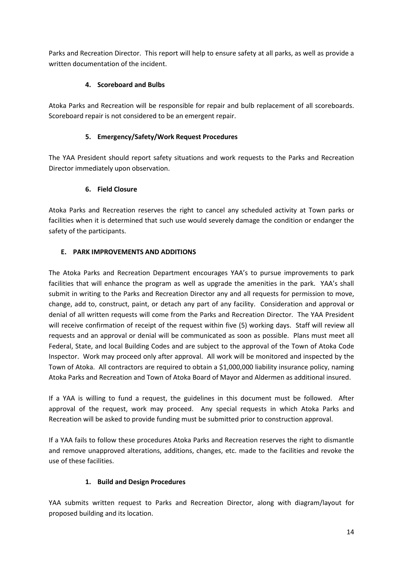Parks and Recreation Director. This report will help to ensure safety at all parks, as well as provide a written documentation of the incident.

# **4. Scoreboard and Bulbs**

Atoka Parks and Recreation will be responsible for repair and bulb replacement of all scoreboards. Scoreboard repair is not considered to be an emergent repair.

# **5. Emergency/Safety/Work Request Procedures**

The YAA President should report safety situations and work requests to the Parks and Recreation Director immediately upon observation.

# **6. Field Closure**

Atoka Parks and Recreation reserves the right to cancel any scheduled activity at Town parks or facilities when it is determined that such use would severely damage the condition or endanger the safety of the participants.

# **E. PARK IMPROVEMENTS AND ADDITIONS**

The Atoka Parks and Recreation Department encourages YAA's to pursue improvements to park facilities that will enhance the program as well as upgrade the amenities in the park. YAA's shall submit in writing to the Parks and Recreation Director any and all requests for permission to move, change, add to, construct, paint, or detach any part of any facility. Consideration and approval or denial of all written requests will come from the Parks and Recreation Director. The YAA President will receive confirmation of receipt of the request within five (5) working days. Staff will review all requests and an approval or denial will be communicated as soon as possible. Plans must meet all Federal, State, and local Building Codes and are subject to the approval of the Town of Atoka Code Inspector. Work may proceed only after approval. All work will be monitored and inspected by the Town of Atoka. All contractors are required to obtain a \$1,000,000 liability insurance policy, naming Atoka Parks and Recreation and Town of Atoka Board of Mayor and Aldermen as additional insured.

If a YAA is willing to fund a request, the guidelines in this document must be followed. After approval of the request, work may proceed. Any special requests in which Atoka Parks and Recreation will be asked to provide funding must be submitted prior to construction approval.

If a YAA fails to follow these procedures Atoka Parks and Recreation reserves the right to dismantle and remove unapproved alterations, additions, changes, etc. made to the facilities and revoke the use of these facilities.

#### **1. Build and Design Procedures**

YAA submits written request to Parks and Recreation Director, along with diagram/layout for proposed building and its location.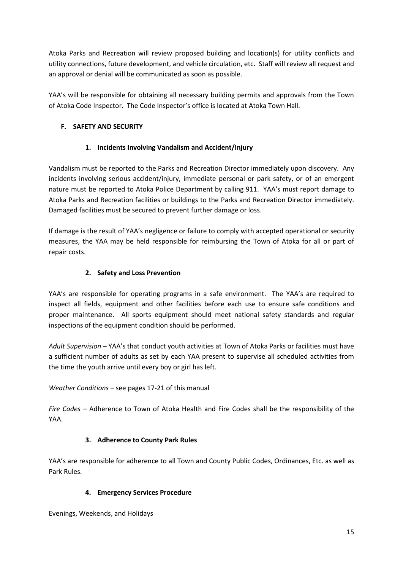Atoka Parks and Recreation will review proposed building and location(s) for utility conflicts and utility connections, future development, and vehicle circulation, etc. Staff will review all request and an approval or denial will be communicated as soon as possible.

YAA's will be responsible for obtaining all necessary building permits and approvals from the Town of Atoka Code Inspector. The Code Inspector's office is located at Atoka Town Hall.

# **F. SAFETY AND SECURITY**

# **1. Incidents Involving Vandalism and Accident/Injury**

Vandalism must be reported to the Parks and Recreation Director immediately upon discovery. Any incidents involving serious accident/injury, immediate personal or park safety, or of an emergent nature must be reported to Atoka Police Department by calling 911. YAA's must report damage to Atoka Parks and Recreation facilities or buildings to the Parks and Recreation Director immediately. Damaged facilities must be secured to prevent further damage or loss.

If damage is the result of YAA's negligence or failure to comply with accepted operational or security measures, the YAA may be held responsible for reimbursing the Town of Atoka for all or part of repair costs.

# **2. Safety and Loss Prevention**

YAA's are responsible for operating programs in a safe environment. The YAA's are required to inspect all fields, equipment and other facilities before each use to ensure safe conditions and proper maintenance. All sports equipment should meet national safety standards and regular inspections of the equipment condition should be performed.

Adult Supervision – YAA's that conduct youth activities at Town of Atoka Parks or facilities must have a sufficient number of adults as set by each YAA present to supervise all scheduled activities from the time the youth arrive until every boy or girl has left.

*Weather Conditions –* see pages 17-21 of this manual

*Fire Codes –* Adherence to Town of Atoka Health and Fire Codes shall be the responsibility of the YAA.

# **3. Adherence to County Park Rules**

YAA's are responsible for adherence to all Town and County Public Codes, Ordinances, Etc. as well as Park Rules.

# **4. Emergency Services Procedure**

Evenings, Weekends, and Holidays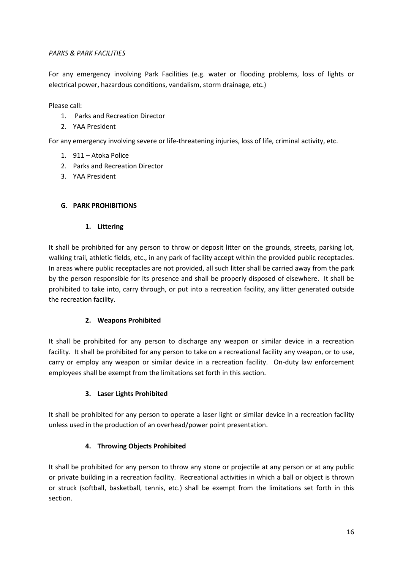#### *PARKS & PARK FACILITIES*

For any emergency involving Park Facilities (e.g. water or flooding problems, loss of lights or electrical power, hazardous conditions, vandalism, storm drainage, etc.)

Please call:

- 1. Parks and Recreation Director
- 2. YAA President

For any emergency involving severe or life-threatening injuries, loss of life, criminal activity, etc.

- 1. 911 Atoka Police
- 2. Parks and Recreation Director
- 3. YAA President

#### **G. PARK PROHIBITIONS**

#### **1. Littering**

It shall be prohibited for any person to throw or deposit litter on the grounds, streets, parking lot, walking trail, athletic fields, etc., in any park of facility accept within the provided public receptacles. In areas where public receptacles are not provided, all such litter shall be carried away from the park by the person responsible for its presence and shall be properly disposed of elsewhere. It shall be prohibited to take into, carry through, or put into a recreation facility, any litter generated outside the recreation facility.

#### **2. Weapons Prohibited**

It shall be prohibited for any person to discharge any weapon or similar device in a recreation facility. It shall be prohibited for any person to take on a recreational facility any weapon, or to use, carry or employ any weapon or similar device in a recreation facility. On-duty law enforcement employees shall be exempt from the limitations set forth in this section.

#### **3. Laser Lights Prohibited**

It shall be prohibited for any person to operate a laser light or similar device in a recreation facility unless used in the production of an overhead/power point presentation.

# **4. Throwing Objects Prohibited**

It shall be prohibited for any person to throw any stone or projectile at any person or at any public or private building in a recreation facility. Recreational activities in which a ball or object is thrown or struck (softball, basketball, tennis, etc.) shall be exempt from the limitations set forth in this section.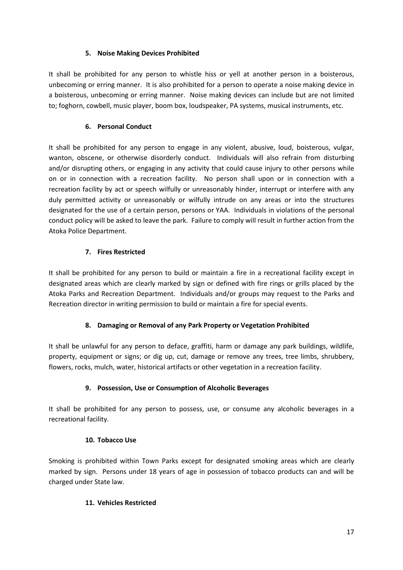#### **5. Noise Making Devices Prohibited**

It shall be prohibited for any person to whistle hiss or yell at another person in a boisterous, unbecoming or erring manner. It is also prohibited for a person to operate a noise making device in a boisterous, unbecoming or erring manner. Noise making devices can include but are not limited to; foghorn, cowbell, music player, boom box, loudspeaker, PA systems, musical instruments, etc.

# **6. Personal Conduct**

It shall be prohibited for any person to engage in any violent, abusive, loud, boisterous, vulgar, wanton, obscene, or otherwise disorderly conduct. Individuals will also refrain from disturbing and/or disrupting others, or engaging in any activity that could cause injury to other persons while on or in connection with a recreation facility. No person shall upon or in connection with a recreation facility by act or speech wilfully or unreasonably hinder, interrupt or interfere with any duly permitted activity or unreasonably or wilfully intrude on any areas or into the structures designated for the use of a certain person, persons or YAA. Individuals in violations of the personal conduct policy will be asked to leave the park. Failure to comply will result in further action from the Atoka Police Department.

# **7. Fires Restricted**

It shall be prohibited for any person to build or maintain a fire in a recreational facility except in designated areas which are clearly marked by sign or defined with fire rings or grills placed by the Atoka Parks and Recreation Department. Individuals and/or groups may request to the Parks and Recreation director in writing permission to build or maintain a fire for special events.

# **8. Damaging or Removal of any Park Property or Vegetation Prohibited**

It shall be unlawful for any person to deface, graffiti, harm or damage any park buildings, wildlife, property, equipment or signs; or dig up, cut, damage or remove any trees, tree limbs, shrubbery, flowers, rocks, mulch, water, historical artifacts or other vegetation in a recreation facility.

# **9. Possession, Use or Consumption of Alcoholic Beverages**

It shall be prohibited for any person to possess, use, or consume any alcoholic beverages in a recreational facility.

#### **10. Tobacco Use**

Smoking is prohibited within Town Parks except for designated smoking areas which are clearly marked by sign. Persons under 18 years of age in possession of tobacco products can and will be charged under State law.

#### **11. Vehicles Restricted**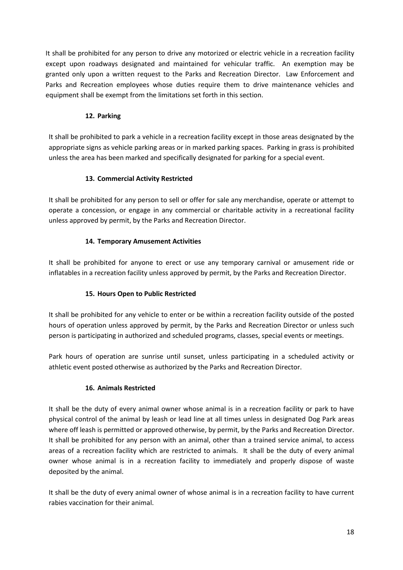It shall be prohibited for any person to drive any motorized or electric vehicle in a recreation facility except upon roadways designated and maintained for vehicular traffic. An exemption may be granted only upon a written request to the Parks and Recreation Director. Law Enforcement and Parks and Recreation employees whose duties require them to drive maintenance vehicles and equipment shall be exempt from the limitations set forth in this section.

# **12. Parking**

It shall be prohibited to park a vehicle in a recreation facility except in those areas designated by the appropriate signs as vehicle parking areas or in marked parking spaces. Parking in grass is prohibited unless the area has been marked and specifically designated for parking for a special event.

# **13. Commercial Activity Restricted**

It shall be prohibited for any person to sell or offer for sale any merchandise, operate or attempt to operate a concession, or engage in any commercial or charitable activity in a recreational facility unless approved by permit, by the Parks and Recreation Director.

# **14. Temporary Amusement Activities**

It shall be prohibited for anyone to erect or use any temporary carnival or amusement ride or inflatables in a recreation facility unless approved by permit, by the Parks and Recreation Director.

# **15. Hours Open to Public Restricted**

It shall be prohibited for any vehicle to enter or be within a recreation facility outside of the posted hours of operation unless approved by permit, by the Parks and Recreation Director or unless such person is participating in authorized and scheduled programs, classes, special events or meetings.

Park hours of operation are sunrise until sunset, unless participating in a scheduled activity or athletic event posted otherwise as authorized by the Parks and Recreation Director.

# **16. Animals Restricted**

It shall be the duty of every animal owner whose animal is in a recreation facility or park to have physical control of the animal by leash or lead line at all times unless in designated Dog Park areas where off leash is permitted or approved otherwise, by permit, by the Parks and Recreation Director. It shall be prohibited for any person with an animal, other than a trained service animal, to access areas of a recreation facility which are restricted to animals. It shall be the duty of every animal owner whose animal is in a recreation facility to immediately and properly dispose of waste deposited by the animal.

It shall be the duty of every animal owner of whose animal is in a recreation facility to have current rabies vaccination for their animal.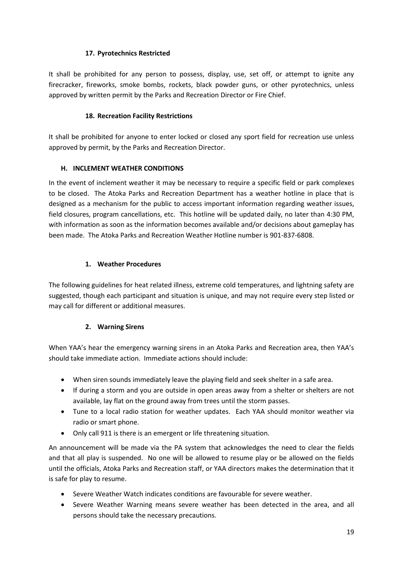# **17. Pyrotechnics Restricted**

It shall be prohibited for any person to possess, display, use, set off, or attempt to ignite any firecracker, fireworks, smoke bombs, rockets, black powder guns, or other pyrotechnics, unless approved by written permit by the Parks and Recreation Director or Fire Chief.

#### **18. Recreation Facility Restrictions**

It shall be prohibited for anyone to enter locked or closed any sport field for recreation use unless approved by permit, by the Parks and Recreation Director.

# **H. INCLEMENT WEATHER CONDITIONS**

In the event of inclement weather it may be necessary to require a specific field or park complexes to be closed. The Atoka Parks and Recreation Department has a weather hotline in place that is designed as a mechanism for the public to access important information regarding weather issues, field closures, program cancellations, etc. This hotline will be updated daily, no later than 4:30 PM, with information as soon as the information becomes available and/or decisions about gameplay has been made. The Atoka Parks and Recreation Weather Hotline number is 901-837-6808.

# **1. Weather Procedures**

The following guidelines for heat related illness, extreme cold temperatures, and lightning safety are suggested, though each participant and situation is unique, and may not require every step listed or may call for different or additional measures.

# **2. Warning Sirens**

When YAA's hear the emergency warning sirens in an Atoka Parks and Recreation area, then YAA's should take immediate action. Immediate actions should include:

- When siren sounds immediately leave the playing field and seek shelter in a safe area.
- If during a storm and you are outside in open areas away from a shelter or shelters are not available, lay flat on the ground away from trees until the storm passes.
- Tune to a local radio station for weather updates. Each YAA should monitor weather via radio or smart phone.
- Only call 911 is there is an emergent or life threatening situation.

An announcement will be made via the PA system that acknowledges the need to clear the fields and that all play is suspended. No one will be allowed to resume play or be allowed on the fields until the officials, Atoka Parks and Recreation staff, or YAA directors makes the determination that it is safe for play to resume.

- Severe Weather Watch indicates conditions are favourable for severe weather.
- Severe Weather Warning means severe weather has been detected in the area, and all persons should take the necessary precautions.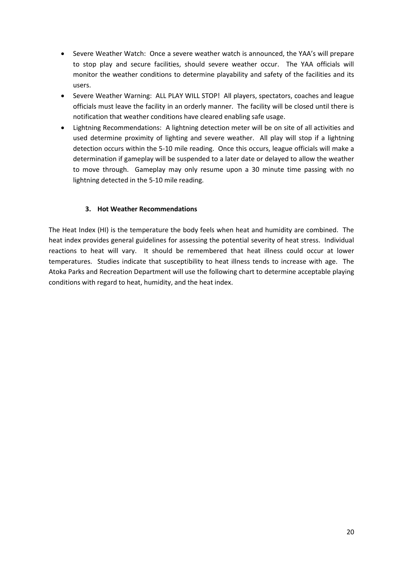- Severe Weather Watch: Once a severe weather watch is announced, the YAA's will prepare to stop play and secure facilities, should severe weather occur. The YAA officials will monitor the weather conditions to determine playability and safety of the facilities and its users.
- Severe Weather Warning: ALL PLAY WILL STOP! All players, spectators, coaches and league officials must leave the facility in an orderly manner. The facility will be closed until there is notification that weather conditions have cleared enabling safe usage.
- Lightning Recommendations: A lightning detection meter will be on site of all activities and used determine proximity of lighting and severe weather. All play will stop if a lightning detection occurs within the 5-10 mile reading. Once this occurs, league officials will make a determination if gameplay will be suspended to a later date or delayed to allow the weather to move through. Gameplay may only resume upon a 30 minute time passing with no lightning detected in the 5-10 mile reading.

#### **3. Hot Weather Recommendations**

The Heat Index (HI) is the temperature the body feels when heat and humidity are combined. The heat index provides general guidelines for assessing the potential severity of heat stress. Individual reactions to heat will vary. It should be remembered that heat illness could occur at lower temperatures. Studies indicate that susceptibility to heat illness tends to increase with age. The Atoka Parks and Recreation Department will use the following chart to determine acceptable playing conditions with regard to heat, humidity, and the heat index.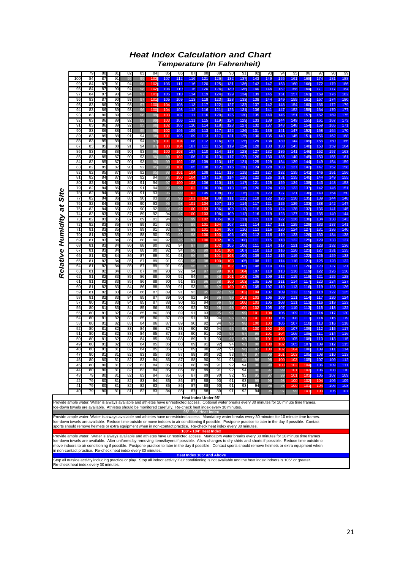| <b>Heat Index Calculation and Chart</b> |                                    |
|-----------------------------------------|------------------------------------|
|                                         | <b>Temperature (In Fahrenheit)</b> |

|                                                                                                                                                                                                                                                                                                                                |           | 79       | 80       | 81       | 82       | 83       | 84         | 85         | 86         | 87                     | 88                     | 89                        | 90         | 91         | 92         | 93         | 94                     | 95              | 96         | 97         | 98         | 99                |
|--------------------------------------------------------------------------------------------------------------------------------------------------------------------------------------------------------------------------------------------------------------------------------------------------------------------------------|-----------|----------|----------|----------|----------|----------|------------|------------|------------|------------------------|------------------------|---------------------------|------------|------------|------------|------------|------------------------|-----------------|------------|------------|------------|-------------------|
|                                                                                                                                                                                                                                                                                                                                | 100<br>99 | 84       | 87<br>87 | 91       | 95       | 99<br>98 | 103<br>102 | 107<br>106 | 112<br>111 | 116<br>116             | 121<br>120             | 126<br>125                | 132<br>131 | 137<br>136 | 143<br>142 | 149<br>147 | 155<br>153             | 161<br>160      | 168<br>166 | 174<br>172 | 181<br>179 | 188<br>186        |
|                                                                                                                                                                                                                                                                                                                                | 98        | 84<br>84 | 87       | 91<br>90 | 94<br>94 | 98       | 102        | 106        | 110        | 115                    | 120                    | 124                       | 130        | 135        | 140        | 146        | 152                    | 158             | 164        | 171        | 177        | 184               |
|                                                                                                                                                                                                                                                                                                                                | 97        | 84       | 87       | 90       | 94       | 97       | 101        | 105        | 110        | 114                    | 119                    | 124                       | 129        | 134        | 139        | 145        | 151                    | 157             | 163        | 169        | 176        | 182               |
|                                                                                                                                                                                                                                                                                                                                | 96        | 83       | 87       | 90       | 93       | 97       | 101        | 105        | 109        | 113                    | 118                    | 123                       | 128        | 133        | 138        | 144        | 149                    | 155             | 161        | 167        | 174        | 180               |
|                                                                                                                                                                                                                                                                                                                                | 95<br>94  | 83<br>83 | 86<br>86 | 90<br>89 | 93<br>93 | 97<br>96 | 100<br>100 | 104<br>104 | 108<br>108 | 113<br>112             | 117<br>116             | 122<br>121                | 127<br>126 | 132<br>131 | 137<br>136 | 142<br>141 | 148<br>147             | 154<br>152      | 160<br>158 | 166<br>164 | 172<br>170 | 179<br>177        |
|                                                                                                                                                                                                                                                                                                                                | 93        | 83       | 86       | 89       | 92       | 96       | 99         | 103        | 107        | 111                    | 116                    | 120                       | 125        | 130        | 135        | 140        | 145                    | 151             | 157        | 162        | 169        | 175               |
|                                                                                                                                                                                                                                                                                                                                | 92        | 83       | 86       | 89       | 92       | 95       | 99         | 103        | 106        | 111                    | 115                    | 119                       | 124        | 129        | 133        | 139        | 144                    | 149             | 155        | 161        | 167        | 173               |
|                                                                                                                                                                                                                                                                                                                                | 91        | 83       | 86       | 89       | 92       | 95       | 98         | 102        | 106        | 110                    | 114                    | 118                       | 123        | 127        | 132        | 137        | 143                    | 148             | 154        | 159        | 165        | 171               |
|                                                                                                                                                                                                                                                                                                                                | 90<br>89  | 83<br>83 | 86<br>85 | 88<br>88 | 91<br>91 | 95<br>94 | 98<br>98   | 102<br>101 | 105<br>105 | 109<br>109             | 113<br>113             | 117<br>117                | 122<br>121 | 126<br>125 | 131<br>130 | 136<br>135 | 141<br>140             | 147<br>145      | 152<br>151 | 158<br>156 | 164<br>162 | 170<br>168        |
|                                                                                                                                                                                                                                                                                                                                | 88        | 83       | 85       | 88       | 91       | 94       | 97         | 101        | 104        | 108                    | 112                    | 116                       | 120        | 125        | 129        | 134        | 139                    | 144             | 149        | 155        | 160        | 166               |
|                                                                                                                                                                                                                                                                                                                                | 87        | 83       | 85       | 88       | 91       | 94       | 97         | 100        | 104        | 107                    | 111                    | 115                       | 119        | 124        | 128        | 133        | 138                    | 143             | 148        | 153        | 159        | 164               |
|                                                                                                                                                                                                                                                                                                                                | 86        | 83       | 85       | 88       | 90       | 93       | 96         | 100        | 103        | 107                    | 110                    | 114                       | 118        | 123        | 127        | 132        | 136                    | 141             | 146        | 152        | 157        | 163               |
|                                                                                                                                                                                                                                                                                                                                | 85<br>84  | 83<br>82 | 85<br>85 | 87<br>87 | 90<br>90 | 93<br>93 | 96<br>96   | 99<br>99   | 102<br>102 | 106<br>105             | 110<br>109             | 113<br>113                | 117<br>117 | 122<br>121 | 126<br>125 | 130<br>129 | 135<br>134             | 140<br>139      | 145<br>144 | 150<br>149 | 155<br>154 | 161<br>159        |
|                                                                                                                                                                                                                                                                                                                                | 83        | 82       | 85       | 87       | 90       | 92       | 95         | 98         | 101        | 105                    | 108                    | 112                       | 116        | 120        | 124        | 128        | 133                    | 137             | 142        | 147        | 152        | 158               |
|                                                                                                                                                                                                                                                                                                                                | 82        | 82       | 85       | 87       | 89       | 92       | 95         | 98         | 101        | 104                    | 108                    | 111                       | 115        | 119        | 123        | 127        | 132                    | 135             | 141        | 146        | 151        | 156               |
|                                                                                                                                                                                                                                                                                                                                | 81        | 82       | 84       | 87       | 89       | 92       | 94         | 97         | 100        | 104                    | 107                    | 110                       | 114        | 118        | 122        | 126        | 131                    | 135             | 140        | 144        | 149        | 155               |
|                                                                                                                                                                                                                                                                                                                                | 80<br>79  | 82<br>82 | 84<br>84 | 86<br>86 | 89<br>89 | 91<br>91 | 94<br>94   | 97<br>96   | 100<br>99  | 103<br>102             | 106<br>106             | 110<br>109                | 113<br>113 | 117<br>116 | 121<br>120 | 125<br>124 | 129<br>128             | 134<br>133      | 138<br>137 | 143<br>142 | 148<br>146 | 153<br>151        |
|                                                                                                                                                                                                                                                                                                                                | 78        | 82       | 84       | 86       | 88       | 91       | 93         | 96         | 99         | 102                    | 105                    | 108                       | 112        | 115        | 119        | 123        | 127                    | 131             | 136        | 140        | 154        | 150               |
| Site                                                                                                                                                                                                                                                                                                                           | 77        | 82       | 84       | 86       | 88       | 90       | 93         | 96         | 98         | 101                    | 104                    | 108                       | 111        | 115        | 118        | 122        | 126                    | 130             | 135        | 139        | 144        | 148               |
|                                                                                                                                                                                                                                                                                                                                | 76        | 82       | 84       | 86       | 88       | 90       | 93         | 95         | 98         | 101                    | 104                    | 107                       | 110        | 114        | 117        | 121        | 125                    | 129             | 133        | 138        | 142        | 147               |
| Relative Humidity at                                                                                                                                                                                                                                                                                                           | 75<br>74  | 82<br>82 | 84<br>83 | 85<br>85 | 88<br>87 | 90<br>89 | 92<br>92   | 95<br>94   | 97<br>97   | 100<br>10 <sub>C</sub> | 103<br>103             | 106<br>106                | 109<br>109 | 113<br>112 | 116<br>116 | 120<br>119 | 124<br>123             | 128<br>127      | 132<br>131 | 136<br>135 | 141<br>140 | $\frac{145}{144}$ |
|                                                                                                                                                                                                                                                                                                                                | 73        | 82       | 83       | 85       | 87       | 89       | 91         | 94         | 96         | 99                     | 102                    | 105                       | 108        | 111        | 115        | 118        | 122                    | 126             | 130        | 134        | 138        | 143               |
|                                                                                                                                                                                                                                                                                                                                | 72        | 82       | 83       | 85       | 87       | 89       | 91         | 93         | 96         | 99                     | 101                    | 104                       | 107        | 111        | 114        | 117        | 121                    | 125             | 129        | 133        | 137        | 141               |
|                                                                                                                                                                                                                                                                                                                                | 71        | 81       | 83       | 85       | 87       | 89       | 91         | 93         | 96         | 98                     | 101                    | 104                       | 107        | 110        | 113        | 116        | 120                    | 124             | 127        | 131        | 136        | 140               |
|                                                                                                                                                                                                                                                                                                                                | 70<br>69  | 81<br>81 | 83<br>83 | 85<br>84 | 86<br>86 | 88<br>88 | 90<br>90   | 93<br>92   | 95<br>95   | 98<br>97               | 10 <sub>C</sub><br>100 | 103<br>102                | 106<br>105 | 109<br>108 | 112<br>111 | 116<br>115 | 119<br>118             | 123<br>122      | 126<br>125 | 130<br>129 | 134<br>133 | 138<br>137        |
|                                                                                                                                                                                                                                                                                                                                | 68        | 81       | 83       | 84       | 86       | 88       | 90         | 92         | 94         | 97                     | 99                     | 102                       | 105        | 108        | 111        | 114        | 117                    | 121             | 124        | 128        | 132        | 136               |
|                                                                                                                                                                                                                                                                                                                                | 67        | 81       | 83       | 84       | 86       | 88       | 90         | 92         | 94         | 96                     | 99                     | 101                       | 104        | 107        | 110        | 113        | 116                    | 120             | 123        | 127        | 131        | 135               |
|                                                                                                                                                                                                                                                                                                                                | 66        | 81       | 82       | 84       | 86       | 87       | 89         | 91         | 93         | 96                     | 98                     | 101                       | 103        | 106        | 109        | 112        | 115                    | 119             | 122        | 126        | 129        | 133               |
|                                                                                                                                                                                                                                                                                                                                | 65<br>64  | 81<br>81 | 82<br>82 | 84<br>84 | 85<br>85 | 87<br>87 | 89<br>89   | 91<br>91   | 93<br>93   | 95<br>95               | 98<br>97               | 100<br>99                 | 103<br>102 | 105<br>105 | 108<br>108 | 111<br>110 | 114<br>114             | 118<br>117      | 121<br>120 | 125<br>123 | 128<br>127 | 132<br>131        |
|                                                                                                                                                                                                                                                                                                                                | 63        | 81       | 82       | 84       | 85       | 87       | 88         | 90         | 92         | 94                     | 97                     | 99                        | 101        | 104        | 107        | 110        | 113                    | 116             | 119        | 122        | 126        | 130               |
|                                                                                                                                                                                                                                                                                                                                | 62        | 81       | 82       | 83       | 85       | 86       | 88         | 90         | 92         | 94                     | 96                     | 98                        | 101        | 103        | 106        | 109        | 112                    | 115             | 118        | 121        | 125        | 128               |
|                                                                                                                                                                                                                                                                                                                                | 61        | 81       | 82       | 83       | 85       | 86       | 88         | 90         | 91         | 93                     | 96                     | 98                        | 100<br>100 | 103<br>102 | 105        | 108        | 111                    | 114             | 117        | 120        | 124        | 127<br>126        |
|                                                                                                                                                                                                                                                                                                                                | 60<br>59  | 81<br>81 | 82<br>82 | 83<br>83 | 84<br>84 | 86<br>86 | 88<br>87   | 89<br>89   | 91<br>91   | 93<br>93               | 95<br>95               | 97<br>97                  | 99         | 102        | 105<br>104 | 107<br>107 | 110<br>109             | 113<br>112      | 116<br>115 | 119<br>118 | 123<br>122 | 125               |
|                                                                                                                                                                                                                                                                                                                                | 58        | 81       | 82       | 83       | 84       | 85       | 87         | 89         | 90         | 92                     | 94                     | 96                        | 99         | 101        | 103        | 106        | 109                    | 111             | 114        | 117        | 120        | 124               |
|                                                                                                                                                                                                                                                                                                                                | 57        | 80       | 81       | 83       | 84       | 85       | 87         | 88         | 90         | 92                     | 94                     | 96                        | 98         | 100        | 103        | 105        | 108                    | 111             | 113        | 116        | 119        | 123               |
|                                                                                                                                                                                                                                                                                                                                | 56<br>55  | 80<br>80 | 81<br>81 | 83<br>82 | 84<br>84 | 85<br>85 | 86<br>86   | 88<br>88   | 90<br>89   | 92<br>91               | 93<br>93               | 95<br>95                  | 98<br>97   | 100<br>99  | 102<br>101 | 105<br>104 | 107<br>106             | 110<br>109      | 113<br>112 | 115<br>114 | 118<br>117 | 122<br>120        |
|                                                                                                                                                                                                                                                                                                                                | 54        | 80       | 81       | 82       | 83       | 85       | 86         | 87         | 89         | 91                     | 93                     | 94                        | 96         | 99         | 101        | 103        | 106                    | 108             | 111        | 114        | 116        | 119               |
|                                                                                                                                                                                                                                                                                                                                | 53        | 80       | 81       | 82       | 83       | 84       | 86         | 87         | 89         | 90                     | 92                     | 94                        | 96         | 98         | 100        | 103        | 105                    | 107             | 110        | 113        | 116        | 118               |
|                                                                                                                                                                                                                                                                                                                                | 52        | 80       | 81       | 82       | 83       | 84       | 86         | 87         | 88         | 90                     | 92                     | 94                        | 96         | 98         | 100        | 102        | 104                    | 107             | 109        | 112        | 115        | 117               |
|                                                                                                                                                                                                                                                                                                                                | 51<br>50  | 80<br>80 | 81<br>81 | 82<br>82 | 83<br>83 | 84<br>84 | 85<br>85   | 87<br>86   | 88<br>88   | 90<br>89               | 91<br>91               | 93<br>93                  | 95<br>95   | 97<br>97   | 99<br>99   | 101<br>101 | 104<br>103             | 106<br>105      | 108<br>108 | 111<br>110 | 114<br>113 | 116<br>115        |
|                                                                                                                                                                                                                                                                                                                                | 49        | 80       | 81       | 82       | 83       | 84       | 85         | 86         | 88         | 89                     | 91                     | 92                        | 94         | 96         | 98         | 100        | 102                    | 105             | 107        | 109        | 112        | 115               |
|                                                                                                                                                                                                                                                                                                                                | 48        | 80       | 81       | 81       | 82       | 84       | 85         | 86         | 87         | 89                     | 90                     | 92                        | 94         | 96         | 97         | 100        | 102                    | 104             | 106        | 109        | 111        | 114               |
|                                                                                                                                                                                                                                                                                                                                | 47        | 80       | 81<br>80 | 81<br>81 | 82       | 83<br>83 | 85         | 86         | 87<br>87   | 88                     | 90<br>90               | 92<br>91                  | 93<br>93   | 95         | 97<br>96   | 99         | 101<br>10 <sub>C</sub> | 103<br>103      | 105<br>105 | 108<br>107 | 110<br>109 | 113<br>112        |
|                                                                                                                                                                                                                                                                                                                                | 46<br>45  | 80<br>80 | 80       | 81       | 82<br>82 | 83       | 84<br>84   | 86<br>85   | 87         | 88<br>88               | 89                     | 91                        | 92         | 95<br>94   | 96         | 98<br>98   | 10 <sub>0</sub>        | 102             | 104        | 106        | 109        | 111               |
|                                                                                                                                                                                                                                                                                                                                | 44        | 80       | 80       | 81       | 82       | 83       | 84         | 85         | 86         | 88                     | 89                     | 91                        | 92         | 94         | 96         | 97         | 99                     | 10 <sup>7</sup> | 103        | 106        | 108        | 110               |
|                                                                                                                                                                                                                                                                                                                                | 43        | 79       | 80       | 81       | 82       | 83       | 84         | 85         | 86         | 87                     | 89                     | 90                        | 92         | 93         |            | 97         |                        | 10              |            | 105        | 107        | 109               |
|                                                                                                                                                                                                                                                                                                                                | 42<br>41  | 79<br>79 | 80<br>80 | 81<br>81 | 82<br>82 | 83<br>82 | 84<br>83   | 85<br>85   | 86<br>86   | 87<br>87               | 88<br>88               | 90<br>90                  | 91<br>91   | 93<br>93   | 95<br>94   | 96<br>96   | 98<br>98               | 100<br>100      | 102<br>101 | 104<br>104 | 106<br>106 | 109<br>108        |
|                                                                                                                                                                                                                                                                                                                                | 40        | 79       | 80       | 81       | 81       | 82       | 83         | 84         | 85         | 87                     | 88                     | 89                        | 91         | 92         | 94         | 95         | 97                     | 99              | 101        | 103        | 105        | 107               |
|                                                                                                                                                                                                                                                                                                                                |           |          |          |          |          |          |            |            |            | Heat Index Under 95°   |                        |                           |            |            |            |            |                        |                 |            |            |            |                   |
| Provide ample water. Water is always available and athletes have unrestricted access. Optional water breaks every 30 minutes for 10 minute time frames.                                                                                                                                                                        |           |          |          |          |          |          |            |            |            |                        |                        |                           |            |            |            |            |                        |                 |            |            |            |                   |
| Ice-down towels are available. Athletes should be monitored carefully. Re-check heat index every 30 minutes.                                                                                                                                                                                                                   |           |          |          |          |          |          |            |            |            | 95° - 99° Heat Index   |                        |                           |            |            |            |            |                        |                 |            |            |            |                   |
| Provide ample water. Water is always available and athletes have unrestricted access. Mandatory water breaks every 30 minutes for 10 minute time frames.                                                                                                                                                                       |           |          |          |          |          |          |            |            |            |                        |                        |                           |            |            |            |            |                        |                 |            |            |            |                   |
| Ice-down towels are available. Reduce time outside or move indoors to air conditioning if possible. Postpone practice to later in the day if possible. Contact                                                                                                                                                                 |           |          |          |          |          |          |            |            |            |                        |                        |                           |            |            |            |            |                        |                 |            |            |            |                   |
| sports should remove helmets or extra equipment when in non-contact practice. Re-check heat index every 30 minutes.                                                                                                                                                                                                            |           |          |          |          |          |          |            |            |            | 100° - 104° Heat Index |                        |                           |            |            |            |            |                        |                 |            |            |            |                   |
| Provide ample water. Water is always available and athletes have unrestricted access. Mandatory water breaks every 30 minutes for 10 minute time frames                                                                                                                                                                        |           |          |          |          |          |          |            |            |            |                        |                        |                           |            |            |            |            |                        |                 |            |            |            |                   |
| Ice-down towels are available. Alter uniforms by removing items/layers if possible. Allow changes to dry shirts and shorts if possible. Reduce time outside o<br>move indoors to air conditioning if possible. Postpone practice to later in the day if possible. Contact sports should remove helmets or extra equipment when |           |          |          |          |          |          |            |            |            |                        |                        |                           |            |            |            |            |                        |                 |            |            |            |                   |
| in non-contact practice. Re-check heat index every 30 minutes.                                                                                                                                                                                                                                                                 |           |          |          |          |          |          |            |            |            |                        |                        |                           |            |            |            |            |                        |                 |            |            |            |                   |
|                                                                                                                                                                                                                                                                                                                                |           |          |          |          |          |          |            |            |            |                        |                        | Heat Index 105° and Above |            |            |            |            |                        |                 |            |            |            |                   |
| Stop all outside activity including practice or play. Stop all indoor activity if air conditioning is not available and the heat index indoors is 105° or greater.<br>Re-check heat index every 30 minutes.                                                                                                                    |           |          |          |          |          |          |            |            |            |                        |                        |                           |            |            |            |            |                        |                 |            |            |            |                   |
|                                                                                                                                                                                                                                                                                                                                |           |          |          |          |          |          |            |            |            |                        |                        |                           |            |            |            |            |                        |                 |            |            |            |                   |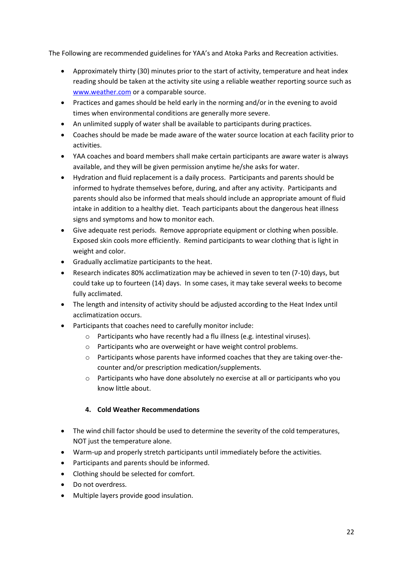The Following are recommended guidelines for YAA's and Atoka Parks and Recreation activities.

- Approximately thirty (30) minutes prior to the start of activity, temperature and heat index reading should be taken at the activity site using a reliable weather reporting source such as [www.weather.com](http://www.weather.com/) or a comparable source.
- Practices and games should be held early in the norming and/or in the evening to avoid times when environmental conditions are generally more severe.
- An unlimited supply of water shall be available to participants during practices.
- Coaches should be made be made aware of the water source location at each facility prior to activities.
- YAA coaches and board members shall make certain participants are aware water is always available, and they will be given permission anytime he/she asks for water.
- Hydration and fluid replacement is a daily process. Participants and parents should be informed to hydrate themselves before, during, and after any activity. Participants and parents should also be informed that meals should include an appropriate amount of fluid intake in addition to a healthy diet. Teach participants about the dangerous heat illness signs and symptoms and how to monitor each.
- Give adequate rest periods. Remove appropriate equipment or clothing when possible. Exposed skin cools more efficiently. Remind participants to wear clothing that is light in weight and color.
- Gradually acclimatize participants to the heat.
- Research indicates 80% acclimatization may be achieved in seven to ten (7-10) days, but could take up to fourteen (14) days. In some cases, it may take several weeks to become fully acclimated.
- The length and intensity of activity should be adjusted according to the Heat Index until acclimatization occurs.
- Participants that coaches need to carefully monitor include:
	- o Participants who have recently had a flu illness (e.g. intestinal viruses).
	- o Participants who are overweight or have weight control problems.
	- o Participants whose parents have informed coaches that they are taking over-thecounter and/or prescription medication/supplements.
	- o Participants who have done absolutely no exercise at all or participants who you know little about.

#### **4. Cold Weather Recommendations**

- The wind chill factor should be used to determine the severity of the cold temperatures, NOT just the temperature alone.
- Warm-up and properly stretch participants until immediately before the activities.
- Participants and parents should be informed.
- Clothing should be selected for comfort.
- Do not overdress.
- Multiple layers provide good insulation.